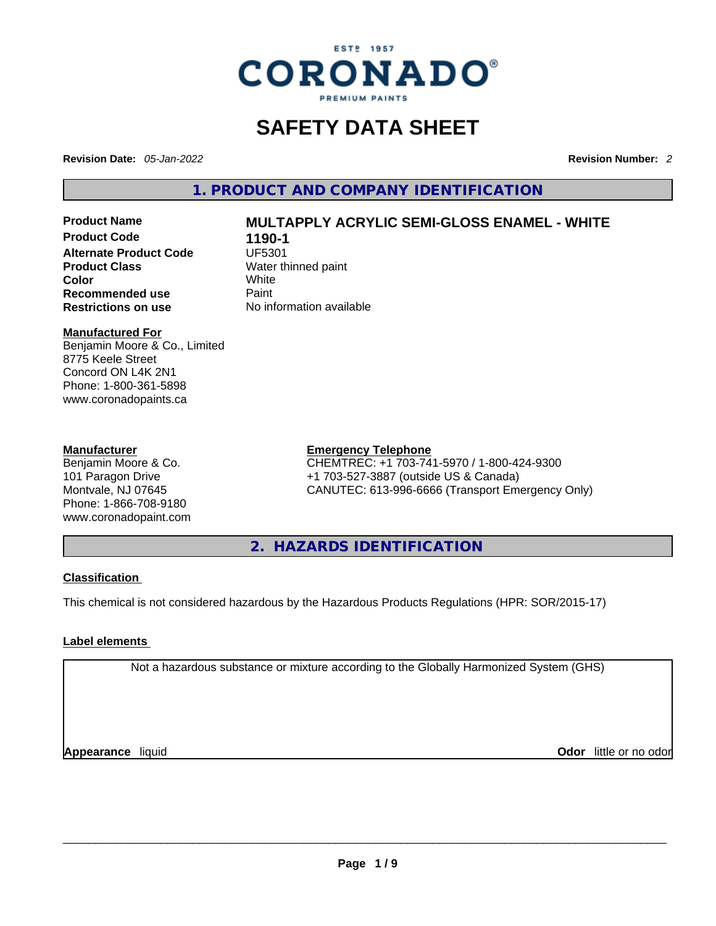

# **SAFETY DATA SHEET**

**Revision Date:** *05-Jan-2022* **Revision Number:** *2*

**1. PRODUCT AND COMPANY IDENTIFICATION** 

**Product Code 1190-1**<br>**Alternate Product Code 1197 Alternate Product Code Product Class Water thinned paint**<br> **Color Color Color** White **Recommended use Faint Paint<br>
<b>Restrictions on use** Mo information available **Restrictions** on use

# **Product Name MULTAPPLY ACRYLIC SEMI-GLOSS ENAMEL - WHITE**

# **Manufactured For**

Benjamin Moore & Co., Limited 8775 Keele Street Concord ON L4K 2N1 Phone: 1-800-361-5898 www.coronadopaints.ca

# **Manufacturer**

Benjamin Moore & Co. 101 Paragon Drive Montvale, NJ 07645 Phone: 1-866-708-9180 www.coronadopaint.com

# **Emergency Telephone**

CHEMTREC: +1 703-741-5970 / 1-800-424-9300 +1 703-527-3887 (outside US & Canada) CANUTEC: 613-996-6666 (Transport Emergency Only)

**2. HAZARDS IDENTIFICATION** 

# **Classification**

This chemical is not considered hazardous by the Hazardous Products Regulations (HPR: SOR/2015-17)

# **Label elements**

Not a hazardous substance or mixture according to the Globally Harmonized System (GHS)

**Appearance** liquid **Odor** little or no odor<br> **Appearance** liquid<br> **Odor** little or no odor **Odor** little or no odor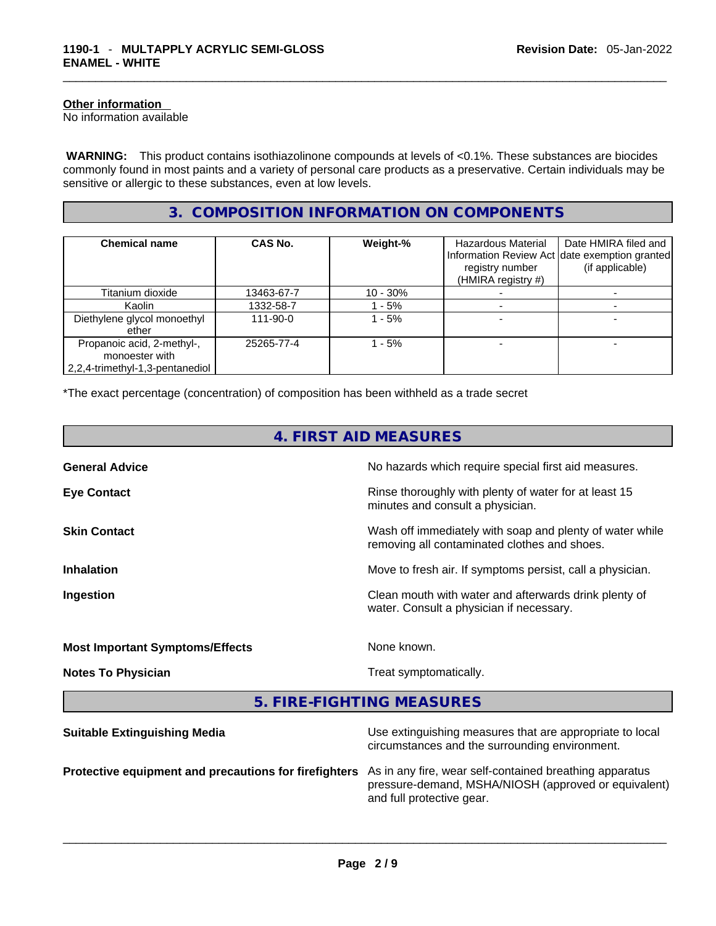# **Other information**

No information available

 **WARNING:** This product contains isothiazolinone compounds at levels of <0.1%. These substances are biocides commonly found in most paints and a variety of personal care products as a preservative. Certain individuals may be sensitive or allergic to these substances, even at low levels.

# **3. COMPOSITION INFORMATION ON COMPONENTS**

| <b>Chemical name</b>                                                            | CAS No.        | Weight-%    | Hazardous Material<br>registry number<br>(HMIRA registry #) | Date HMIRA filed and<br>Information Review Act date exemption granted<br>(if applicable) |
|---------------------------------------------------------------------------------|----------------|-------------|-------------------------------------------------------------|------------------------------------------------------------------------------------------|
| Titanium dioxide                                                                | 13463-67-7     | $10 - 30\%$ |                                                             |                                                                                          |
| Kaolin                                                                          | 1332-58-7      | - 5%        |                                                             |                                                                                          |
| Diethylene glycol monoethyl<br>ether                                            | $111 - 90 - 0$ | - 5%        |                                                             |                                                                                          |
| Propanoic acid, 2-methyl-,<br>monoester with<br>2,2,4-trimethyl-1,3-pentanediol | 25265-77-4     | $-5%$       |                                                             |                                                                                          |

\*The exact percentage (concentration) of composition has been withheld as a trade secret

| 4. FIRST AID MEASURES                  |                                                                                                            |  |
|----------------------------------------|------------------------------------------------------------------------------------------------------------|--|
| <b>General Advice</b>                  | No hazards which require special first aid measures.                                                       |  |
| <b>Eye Contact</b>                     | Rinse thoroughly with plenty of water for at least 15<br>minutes and consult a physician.                  |  |
| <b>Skin Contact</b>                    | Wash off immediately with soap and plenty of water while<br>removing all contaminated clothes and shoes.   |  |
| <b>Inhalation</b>                      | Move to fresh air. If symptoms persist, call a physician.                                                  |  |
| Ingestion                              | Clean mouth with water and afterwards drink plenty of<br>water. Consult a physician if necessary.          |  |
| <b>Most Important Symptoms/Effects</b> | None known.                                                                                                |  |
| <b>Notes To Physician</b>              | Treat symptomatically.                                                                                     |  |
|                                        | 5. FIRE-FIGHTING MEASURES                                                                                  |  |
| <b>Suitable Extinguishing Media</b>    | Use extinguishing measures that are appropriate to local<br>circumstances and the surrounding environment. |  |

**Protective equipment and precautions for firefighters** As in any fire, wear self-contained breathing apparatus pressure-demand, MSHA/NIOSH (approved or equivalent) and full protective gear. \_\_\_\_\_\_\_\_\_\_\_\_\_\_\_\_\_\_\_\_\_\_\_\_\_\_\_\_\_\_\_\_\_\_\_\_\_\_\_\_\_\_\_\_\_\_\_\_\_\_\_\_\_\_\_\_\_\_\_\_\_\_\_\_\_\_\_\_\_\_\_\_\_\_\_\_\_\_\_\_\_\_\_\_\_\_\_\_\_\_\_\_\_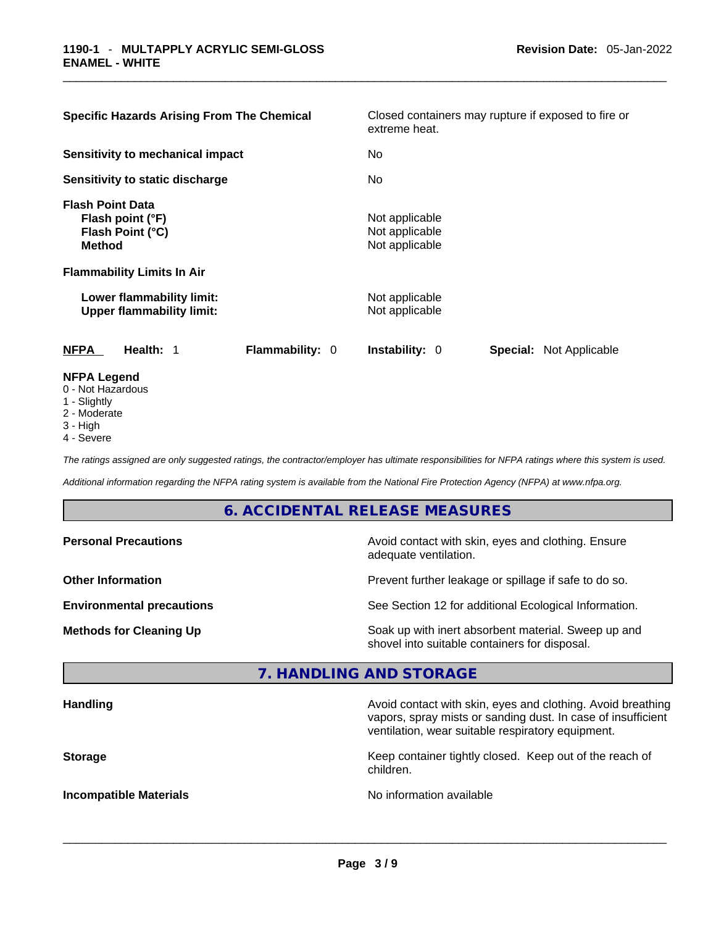| <b>Specific Hazards Arising From The Chemical</b>                                                                     | Closed containers may rupture if exposed to fire or<br>extreme heat. |  |  |  |
|-----------------------------------------------------------------------------------------------------------------------|----------------------------------------------------------------------|--|--|--|
| Sensitivity to mechanical impact                                                                                      | No                                                                   |  |  |  |
| Sensitivity to static discharge                                                                                       | No.                                                                  |  |  |  |
| <b>Flash Point Data</b><br>Flash point (°F)<br>Flash Point (°C)<br><b>Method</b><br><b>Flammability Limits In Air</b> | Not applicable<br>Not applicable<br>Not applicable                   |  |  |  |
| Lower flammability limit:<br><b>Upper flammability limit:</b>                                                         | Not applicable<br>Not applicable                                     |  |  |  |
| <b>Flammability: 0</b><br>NFPA<br>Health: 1                                                                           | <b>Instability: 0</b><br><b>Special: Not Applicable</b>              |  |  |  |
| <b>NFPA Legend</b><br>0 - Not Hazardous<br>1 - Slightly                                                               |                                                                      |  |  |  |

- 2 Moderate
- 
- 3 High 4 - Severe

*The ratings assigned are only suggested ratings, the contractor/employer has ultimate responsibilities for NFPA ratings where this system is used.* 

*Additional information regarding the NFPA rating system is available from the National Fire Protection Agency (NFPA) at www.nfpa.org.* 

# **6. ACCIDENTAL RELEASE MEASURES**

| <b>Personal Precautions</b>      | Avoid contact with skin, eyes and clothing. Ensure<br>adequate ventilation.                          |
|----------------------------------|------------------------------------------------------------------------------------------------------|
| <b>Other Information</b>         | Prevent further leakage or spillage if safe to do so.                                                |
| <b>Environmental precautions</b> | See Section 12 for additional Ecological Information.                                                |
| <b>Methods for Cleaning Up</b>   | Soak up with inert absorbent material. Sweep up and<br>shovel into suitable containers for disposal. |

# **7. HANDLING AND STORAGE**

| <b>Handling</b>               | Avoid contact with skin, eyes and clothing. Avoid breathing<br>vapors, spray mists or sanding dust. In case of insufficient<br>ventilation, wear suitable respiratory equipment. |
|-------------------------------|----------------------------------------------------------------------------------------------------------------------------------------------------------------------------------|
| <b>Storage</b>                | Keep container tightly closed. Keep out of the reach of<br>children.                                                                                                             |
| <b>Incompatible Materials</b> | No information available                                                                                                                                                         |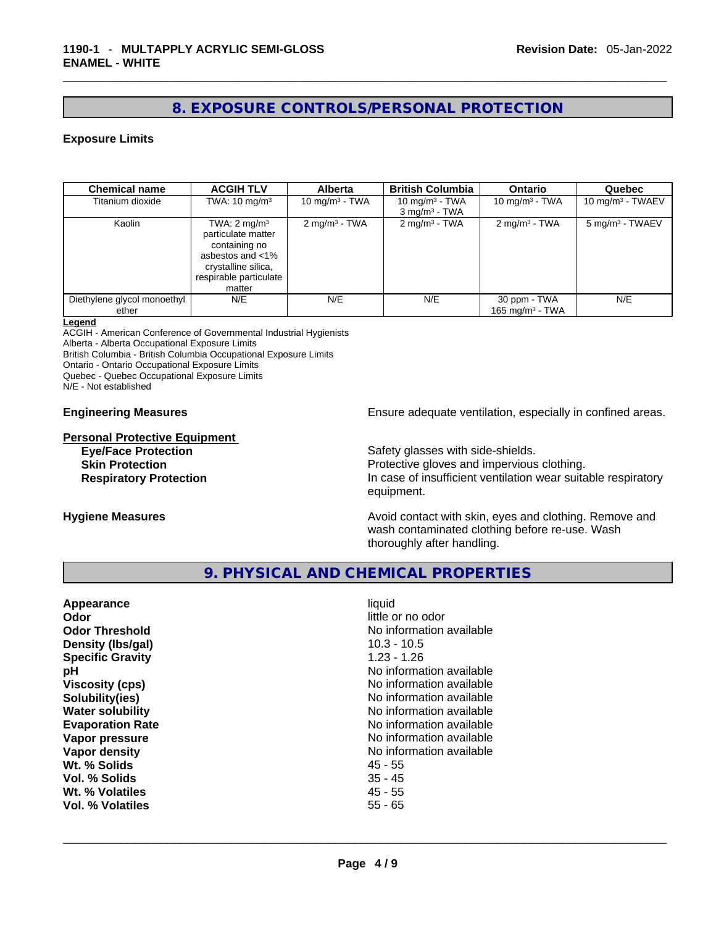# **8. EXPOSURE CONTROLS/PERSONAL PROTECTION**

# **Exposure Limits**

| <b>Chemical name</b>                 | <b>ACGIH TLV</b>                                                                                                                              | <b>Alberta</b>           | <b>British Columbia</b>                         | <b>Ontario</b>                     | Quebec                      |
|--------------------------------------|-----------------------------------------------------------------------------------------------------------------------------------------------|--------------------------|-------------------------------------------------|------------------------------------|-----------------------------|
| Titanium dioxide                     | TWA: $10 \text{ mg/m}^3$                                                                                                                      | 10 mg/m $3$ - TWA        | 10 $mq/m3$ - TWA<br>$3$ mg/m <sup>3</sup> - TWA | 10 mg/m $3$ - TWA                  | 10 mg/m $3$ - TWAEV         |
| Kaolin                               | TWA: $2 \text{ mg/m}^3$<br>particulate matter<br>containing no<br>asbestos and <1%<br>crystalline silica,<br>respirable particulate<br>matter | $2 \text{ mg/m}^3$ - TWA | $2 \text{ mg/m}^3$ - TWA                        | $2 \text{mq/m}^3$ - TWA            | 5 mg/m <sup>3</sup> - TWAEV |
| Diethylene glycol monoethyl<br>ether | N/E                                                                                                                                           | N/E                      | N/E                                             | 30 ppm - TWA<br>165 mg/m $3$ - TWA | N/E                         |

#### **Legend**

ACGIH - American Conference of Governmental Industrial Hygienists

Alberta - Alberta Occupational Exposure Limits

British Columbia - British Columbia Occupational Exposure Limits

Ontario - Ontario Occupational Exposure Limits

Quebec - Quebec Occupational Exposure Limits

N/E - Not established

**Personal Protective Equipment**

**Engineering Measures Ensure** Ensure adequate ventilation, especially in confined areas.

**Eye/Face Protection Safety glasses with side-shields. Skin Protection Protection** Protective gloves and impervious clothing. **Respiratory Protection In case of insufficient ventilation wear suitable respiratory** equipment.

**Hygiene Measures Avoid contact with skin, eyes and clothing. Remove and Avoid contact with skin, eyes and clothing. Remove and Avoid contact with skin, eyes and clothing. Remove and** wash contaminated clothing before re-use. Wash thoroughly after handling.

# **9. PHYSICAL AND CHEMICAL PROPERTIES**

| Appearance              | liquid                   |
|-------------------------|--------------------------|
| Odor                    | little or no odor        |
| <b>Odor Threshold</b>   | No information available |
| Density (Ibs/gal)       | $10.3 - 10.5$            |
| <b>Specific Gravity</b> | $1.23 - 1.26$            |
| рH                      | No information available |
| <b>Viscosity (cps)</b>  | No information available |
| Solubility(ies)         | No information available |
| <b>Water solubility</b> | No information available |
| <b>Evaporation Rate</b> | No information available |
| Vapor pressure          | No information available |
| Vapor density           | No information available |
| Wt. % Solids            | 45 - 55                  |
| Vol. % Solids           | $35 - 45$                |
| Wt. % Volatiles         | $45 - 55$                |
| Vol. % Volatiles        | $55 - 65$                |
|                         |                          |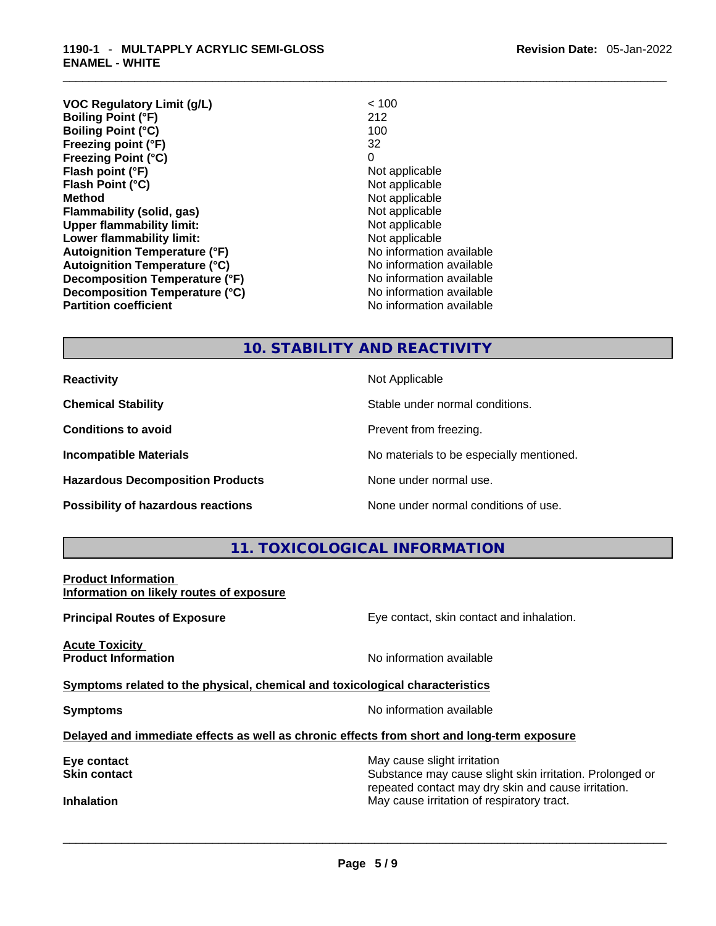| <b>Revision Date: 05-Jan-2022</b> |
|-----------------------------------|
|-----------------------------------|

| <b>VOC Regulatory Limit (g/L)</b><br><b>Boiling Point (°F)</b> | < 100<br>212             |
|----------------------------------------------------------------|--------------------------|
| <b>Boiling Point (°C)</b>                                      | 100                      |
| Freezing point (°F)                                            | 32                       |
| <b>Freezing Point (°C)</b>                                     | 0                        |
| Flash point (°F)                                               | Not applicable           |
| Flash Point (°C)                                               | Not applicable           |
| <b>Method</b>                                                  | Not applicable           |
| Flammability (solid, gas)                                      | Not applicable           |
| <b>Upper flammability limit:</b>                               | Not applicable           |
| Lower flammability limit:                                      | Not applicable           |
| <b>Autoignition Temperature (°F)</b>                           | No information available |
| <b>Autoignition Temperature (°C)</b>                           | No information available |
| Decomposition Temperature (°F)                                 | No information available |
| Decomposition Temperature (°C)                                 | No information available |
| <b>Partition coefficient</b>                                   | No information available |

# **10. STABILITY AND REACTIVITY**

**Hazardous Decomposition Products** None under normal use.

**Reactivity Not Applicable Not Applicable** 

**Chemical Stability** Stable under normal conditions.

**Conditions to avoid Prevent from freezing.** 

**Incompatible Materials Materials No materials to be especially mentioned.** 

**Possibility of hazardous reactions** None under normal conditions of use.

# **11. TOXICOLOGICAL INFORMATION**

**Product Information Information on likely routes of exposure**

**Acute Toxicity Product Information Information No information available** 

**Principal Routes of Exposure Exposure** Eye contact, skin contact and inhalation.

**Symptoms related to the physical,chemical and toxicological characteristics**

**Symptoms Symptoms No information available** 

**Delayed and immediate effects as well as chronic effects from short and long-term exposure**

**Eye contact** May cause slight irritation **Eye** contact **May cause slight irritation** 

**Skin contact Substance may cause slight skin irritation. Prolonged or** Substance may cause slight skin irritation. Prolonged or repeated contact may dry skin and cause irritation. **Inhalation** May cause irritation of respiratory tract. \_\_\_\_\_\_\_\_\_\_\_\_\_\_\_\_\_\_\_\_\_\_\_\_\_\_\_\_\_\_\_\_\_\_\_\_\_\_\_\_\_\_\_\_\_\_\_\_\_\_\_\_\_\_\_\_\_\_\_\_\_\_\_\_\_\_\_\_\_\_\_\_\_\_\_\_\_\_\_\_\_\_\_\_\_\_\_\_\_\_\_\_\_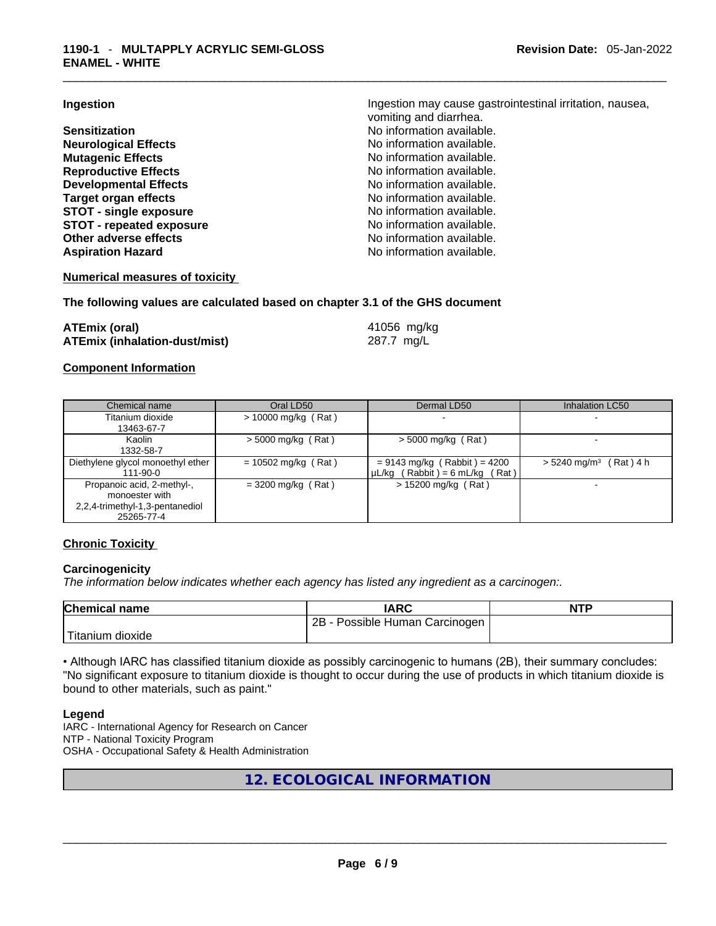**Neurological Effects** No information available. **Mutagenic Effects Mutagenic Effects No information available. Reproductive Effects No information available. Developmental Effects No information available. Target organ effects**<br> **STOT - single exposure**<br> **STOT - single exposure**<br> **No information available. STOT** - single exposure **STOT** - **repeated exposure No information available. Other adverse effects No information available.** Aspiration Hazard **Aspiration Hazard No information available.** 

**Ingestion Ingestion Ingestion may cause gastrointestinal irritation**, nausea, vomiting and diarrhea. **Sensitization No information available.** 

# **Numerical measures of toxicity**

# **The following values are calculated based on chapter 3.1 of the GHS document**

| <b>ATEmix (oral)</b>                 | 41056 mg/kg |
|--------------------------------------|-------------|
| <b>ATEmix (inhalation-dust/mist)</b> | 287.7 mg/L  |

#### **Component Information**

| Chemical name                                                                                 | Oral LD50             | Dermal LD50                                                           | <b>Inhalation LC50</b>               |
|-----------------------------------------------------------------------------------------------|-----------------------|-----------------------------------------------------------------------|--------------------------------------|
| Titanium dioxide<br>13463-67-7                                                                | $> 10000$ mg/kg (Rat) |                                                                       |                                      |
| Kaolin<br>1332-58-7                                                                           | $>$ 5000 mg/kg (Rat)  | $>$ 5000 mg/kg (Rat)                                                  |                                      |
| Diethylene glycol monoethyl ether<br>111-90-0                                                 | $= 10502$ mg/kg (Rat) | $= 9143$ mg/kg (Rabbit) = 4200<br>$\mu L/kg$ (Rabbit) = 6 mL/kg (Rat) | $> 5240$ mg/m <sup>3</sup> (Rat) 4 h |
| Propanoic acid, 2-methyl-,<br>monoester with<br>2,2,4-trimethyl-1,3-pentanediol<br>25265-77-4 | $= 3200$ mg/kg (Rat)  | $> 15200$ mg/kg (Rat)                                                 |                                      |

# **Chronic Toxicity**

# **Carcinogenicity**

*The information below indicates whether each agency has listed any ingredient as a carcinogen:.* 

| <b>Chemical name</b>          | IARC                                | <b>NTP</b> |
|-------------------------------|-------------------------------------|------------|
|                               | $2B -$<br>Possible Human Carcinogen |            |
| <sup>1</sup> Titanium dioxide |                                     |            |

• Although IARC has classified titanium dioxide as possibly carcinogenic to humans (2B), their summary concludes: "No significant exposure to titanium dioxide is thought to occur during the use of products in which titanium dioxide is bound to other materials, such as paint."

#### **Legend**

IARC - International Agency for Research on Cancer NTP - National Toxicity Program OSHA - Occupational Safety & Health Administration

# **12. ECOLOGICAL INFORMATION**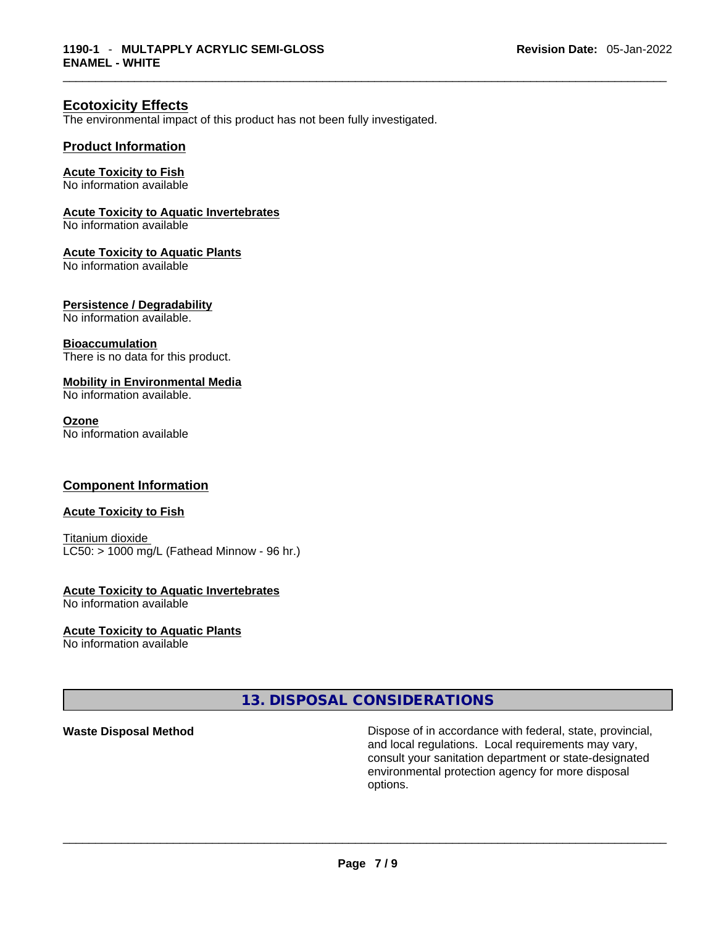# **Ecotoxicity Effects**

The environmental impact of this product has not been fully investigated.

# **Product Information**

#### **Acute Toxicity to Fish** No information available

# **Acute Toxicity to Aquatic Invertebrates**

No information available

#### **Acute Toxicity to Aquatic Plants**

No information available

# **Persistence / Degradability**

No information available.

#### **Bioaccumulation**

There is no data for this product.

# **Mobility in Environmental Media**

No information available.

#### **Ozone**

No information available

# **Component Information**

#### **Acute Toxicity to Fish**

Titanium dioxide  $LC50:$  > 1000 mg/L (Fathead Minnow - 96 hr.)

# **Acute Toxicity to Aquatic Invertebrates**

No information available

# **Acute Toxicity to Aquatic Plants**

No information available

# **13. DISPOSAL CONSIDERATIONS**

**Waste Disposal Method** Dispose of in accordance with federal, state, provincial, and local regulations. Local requirements may vary, consult your sanitation department or state-designated environmental protection agency for more disposal options. \_\_\_\_\_\_\_\_\_\_\_\_\_\_\_\_\_\_\_\_\_\_\_\_\_\_\_\_\_\_\_\_\_\_\_\_\_\_\_\_\_\_\_\_\_\_\_\_\_\_\_\_\_\_\_\_\_\_\_\_\_\_\_\_\_\_\_\_\_\_\_\_\_\_\_\_\_\_\_\_\_\_\_\_\_\_\_\_\_\_\_\_\_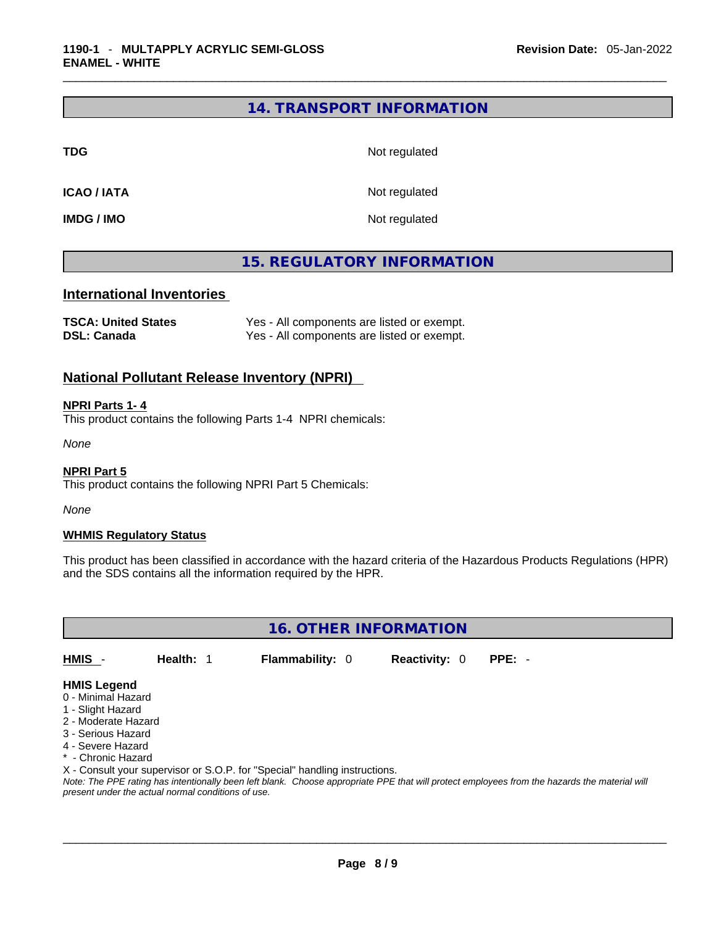# **14. TRANSPORT INFORMATION**

**TDG** Not regulated

**ICAO / IATA** Not regulated

**IMDG / IMO** Not regulated

# **15. REGULATORY INFORMATION**

# **International Inventories**

| <b>TSCA: United States</b> | Yes - All components are listed or exempt. |
|----------------------------|--------------------------------------------|
| <b>DSL: Canada</b>         | Yes - All components are listed or exempt. |

# **National Pollutant Release Inventory (NPRI)**

# **NPRI Parts 1- 4**

This product contains the following Parts 1-4 NPRI chemicals:

*None*

#### **NPRI Part 5**

This product contains the following NPRI Part 5 Chemicals:

*None*

# **WHMIS Regulatory Status**

This product has been classified in accordance with the hazard criteria of the Hazardous Products Regulations (HPR) and the SDS contains all the information required by the HPR.

**16. OTHER INFORMATION** 

**HMIS** - **Health:** 1 **Flammability:** 0 **Reactivity:** 0 **PPE:** -

- **HMIS Legend** 0 - Minimal Hazard
- 1 Slight Hazard
- 2 Moderate Hazard
- 3 Serious Hazard
- 4 Severe Hazard
- \* Chronic Hazard
- 

X - Consult your supervisor or S.O.P. for "Special" handling instructions.

Note: The PPE rating has intentionally been left blank. Choose appropriate PPE that will protect employees from the hazards the material will *present under the actual normal conditions of use.*